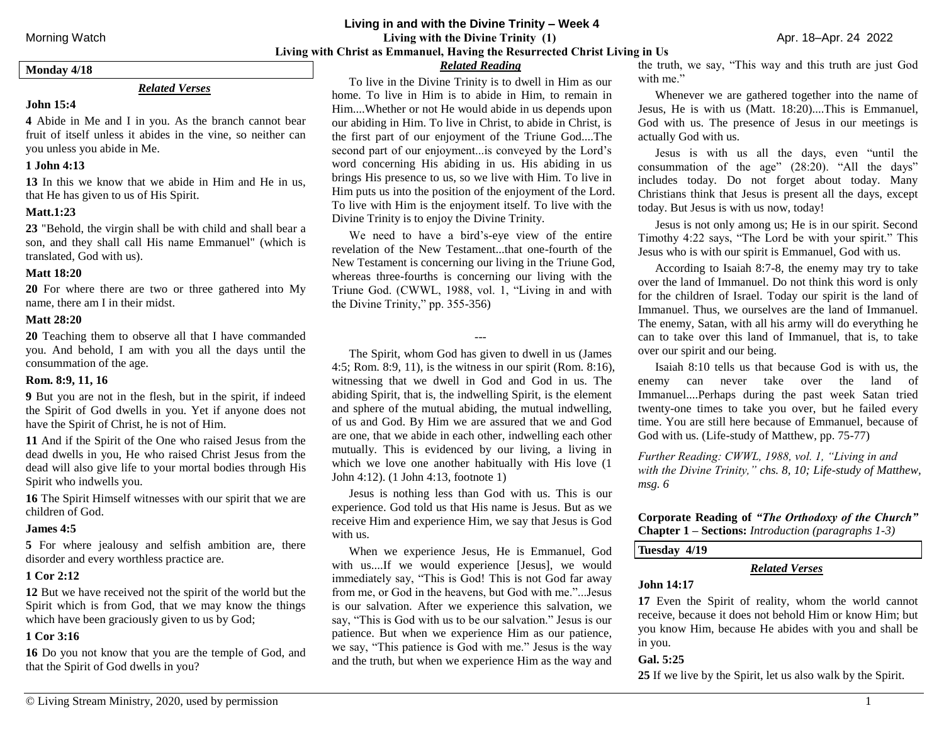#### **Living in and with the Divine Trinity – Week 4**

Morning Watch**Living with the Divine Trinity (1)** Apr. 18–Apr. 24 2022 **Living with Christ as Emmanuel, Having the Resurrected Christ Living in Us**

#### **Monday 4/18**

#### *Related Verses*

## **John 15:4**

**4** Abide in Me and I in you. As the branch cannot bear fruit of itself unless it abides in the vine, so neither can you unless you abide in Me.

## **1 John 4:13**

**13** In this we know that we abide in Him and He in us, that He has given to us of His Spirit.

## **Matt.1:23**

**23** "Behold, the virgin shall be with child and shall bear a son, and they shall call His name Emmanuel" (which is translated, God with us).

#### **Matt 18:20**

**20** For where there are two or three gathered into My name, there am I in their midst.

#### **Matt 28:20**

**20** Teaching them to observe all that I have commanded you. And behold, I am with you all the days until the consummation of the age.

#### **Rom. 8:9, 11, 16**

**9** But you are not in the flesh, but in the spirit, if indeed the Spirit of God dwells in you. Yet if anyone does not have the Spirit of Christ, he is not of Him.

**11** And if the Spirit of the One who raised Jesus from the dead dwells in you, He who raised Christ Jesus from the dead will also give life to your mortal bodies through His Spirit who indwells you.

**16** The Spirit Himself witnesses with our spirit that we are children of God.

#### **James 4:5**

**5** For where jealousy and selfish ambition are, there disorder and every worthless practice are.

## **1 Cor 2:12**

**12** But we have received not the spirit of the world but the Spirit which is from God, that we may know the things which have been graciously given to us by God;

## **1 Cor 3:16**

**16** Do you not know that you are the temple of God, and that the Spirit of God dwells in you?

# *Related Reading*

To live in the Divine Trinity is to dwell in Him as our home. To live in Him is to abide in Him, to remain in Him....Whether or not He would abide in us depends upon our abiding in Him. To live in Christ, to abide in Christ, is the first part of our enjoyment of the Triune God....The second part of our enjoyment...is conveyed by the Lord's word concerning His abiding in us. His abiding in us brings His presence to us, so we live with Him. To live in Him puts us into the position of the enjoyment of the Lord. To live with Him is the enjoyment itself. To live with the Divine Trinity is to enjoy the Divine Trinity.

We need to have a bird's-eye view of the entire revelation of the New Testament...that one-fourth of the New Testament is concerning our living in the Triune God, whereas three-fourths is concerning our living with the Triune God. (CWWL, 1988, vol. 1, "Living in and with the Divine Trinity," pp. 355-356)

#### ---

The Spirit, whom God has given to dwell in us (James 4:5; Rom. 8:9, 11), is the witness in our spirit (Rom. 8:16), witnessing that we dwell in God and God in us. The abiding Spirit, that is, the indwelling Spirit, is the element and sphere of the mutual abiding, the mutual indwelling, of us and God. By Him we are assured that we and God are one, that we abide in each other, indwelling each other mutually. This is evidenced by our living, a living in which we love one another habitually with His love (1 John 4:12). (1 John 4:13, footnote 1)

Jesus is nothing less than God with us. This is our experience. God told us that His name is Jesus. But as we receive Him and experience Him, we say that Jesus is God with us.

When we experience Jesus, He is Emmanuel, God with us....If we would experience [Jesus], we would immediately say, "This is God! This is not God far away from me, or God in the heavens, but God with me."...Jesus is our salvation. After we experience this salvation, we say, "This is God with us to be our salvation." Jesus is our patience. But when we experience Him as our patience, we say, "This patience is God with me." Jesus is the way and the truth, but when we experience Him as the way and

the truth, we say, "This way and this truth are just God with me."

Whenever we are gathered together into the name of Jesus, He is with us (Matt. 18:20)....This is Emmanuel, God with us. The presence of Jesus in our meetings is actually God with us.

Jesus is with us all the days, even "until the consummation of the age" (28:20). "All the days" includes today. Do not forget about today. Many Christians think that Jesus is present all the days, except today. But Jesus is with us now, today!

Jesus is not only among us; He is in our spirit. Second Timothy 4:22 says, "The Lord be with your spirit." This Jesus who is with our spirit is Emmanuel, God with us.

According to Isaiah 8:7-8, the enemy may try to take over the land of Immanuel. Do not think this word is only for the children of Israel. Today our spirit is the land of Immanuel. Thus, we ourselves are the land of Immanuel. The enemy, Satan, with all his army will do everything he can to take over this land of Immanuel, that is, to take over our spirit and our being.

Isaiah 8:10 tells us that because God is with us, the enemy can never take over the land of Immanuel....Perhaps during the past week Satan tried twenty-one times to take you over, but he failed every time. You are still here because of Emmanuel, because of God with us. (Life-study of Matthew, pp. 75-77)

*Further Reading: CWWL, 1988, vol. 1, "Living in and with the Divine Trinity," chs. 8, 10; Life-study of Matthew, msg. 6*

**Corporate Reading of** *"The Orthodoxy of the Church"* **Chapter 1 – Sections:** *Introduction (paragraphs 1-3)*

# **Tuesday 4/19**

## *Related Verses*

## **John 14:17**

**17** Even the Spirit of reality, whom the world cannot receive, because it does not behold Him or know Him; but you know Him, because He abides with you and shall be in you.

## **Gal. 5:25**

**25** If we live by the Spirit, let us also walk by the Spirit.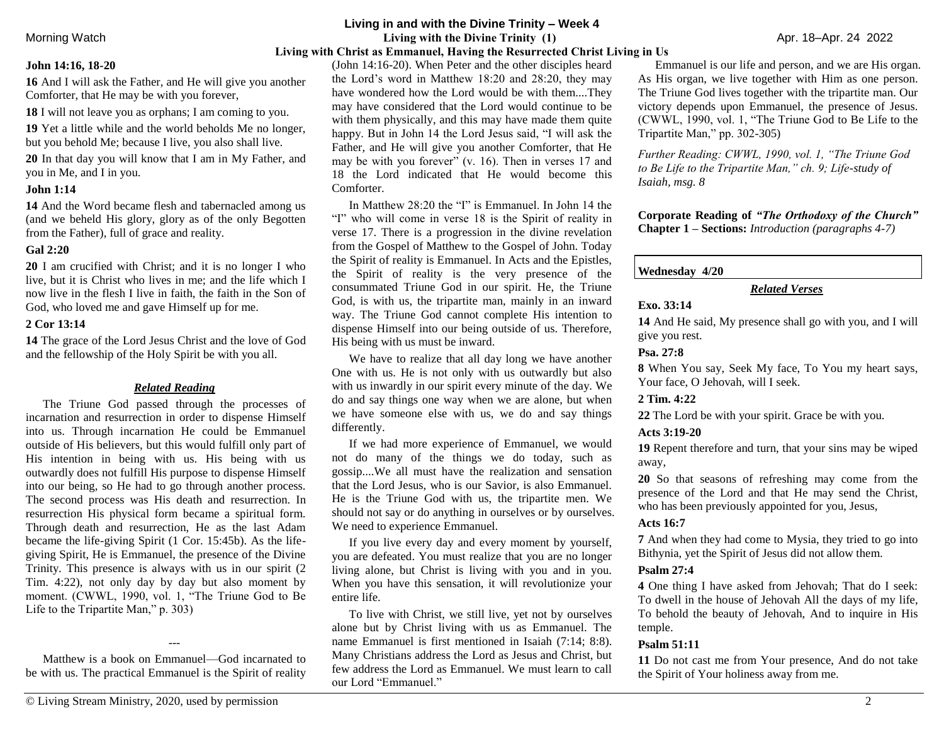#### **John 14:16, 18-20**

**16** And I will ask the Father, and He will give you another Comforter, that He may be with you forever,

**18** I will not leave you as orphans; I am coming to you.

**19** Yet a little while and the world beholds Me no longer, but you behold Me; because I live, you also shall live.

**20** In that day you will know that I am in My Father, and you in Me, and I in you.

#### **John 1:14**

**14** And the Word became flesh and tabernacled among us (and we beheld His glory, glory as of the only Begotten from the Father), full of grace and reality.

#### **Gal 2:20**

**20** I am crucified with Christ; and it is no longer I who live, but it is Christ who lives in me; and the life which I now live in the flesh I live in faith, the faith in the Son of God, who loved me and gave Himself up for me.

#### **2 Cor 13:14**

**14** The grace of the Lord Jesus Christ and the love of God and the fellowship of the Holy Spirit be with you all.

#### *Related Reading*

The Triune God passed through the processes of incarnation and resurrection in order to dispense Himself into us. Through incarnation He could be Emmanuel outside of His believers, but this would fulfill only part of His intention in being with us. His being with us outwardly does not fulfill His purpose to dispense Himself into our being, so He had to go through another process. The second process was His death and resurrection. In resurrection His physical form became a spiritual form. Through death and resurrection, He as the last Adam became the life-giving Spirit (1 Cor. 15:45b). As the lifegiving Spirit, He is Emmanuel, the presence of the Divine Trinity. This presence is always with us in our spirit (2 Tim. 4:22), not only day by day but also moment by moment. (CWWL, 1990, vol. 1, "The Triune God to Be Life to the Tripartite Man," p. 303)

Matthew is a book on Emmanuel—God incarnated to be with us. The practical Emmanuel is the Spirit of reality

---

## **Living in and with the Divine Trinity – Week 4**

Morning Watch**Living with the Divine Trinity (1)** Apr. 18–Apr. 24 2022

#### **Living with Christ as Emmanuel, Having the Resurrected Christ Living in Us**

(John 14:16-20). When Peter and the other disciples heard the Lord's word in Matthew 18:20 and 28:20, they may have wondered how the Lord would be with them....They may have considered that the Lord would continue to be with them physically, and this may have made them quite happy. But in John 14 the Lord Jesus said, "I will ask the Father, and He will give you another Comforter, that He may be with you forever" (v. 16). Then in verses 17 and 18 the Lord indicated that He would become this Comforter.

In Matthew 28:20 the "I" is Emmanuel. In John 14 the "I" who will come in verse 18 is the Spirit of reality in verse 17. There is a progression in the divine revelation from the Gospel of Matthew to the Gospel of John. Today the Spirit of reality is Emmanuel. In Acts and the Epistles, the Spirit of reality is the very presence of the consummated Triune God in our spirit. He, the Triune God, is with us, the tripartite man, mainly in an inward way. The Triune God cannot complete His intention to dispense Himself into our being outside of us. Therefore, His being with us must be inward.

We have to realize that all day long we have another One with us. He is not only with us outwardly but also with us inwardly in our spirit every minute of the day. We do and say things one way when we are alone, but when we have someone else with us, we do and say things differently.

If we had more experience of Emmanuel, we would not do many of the things we do today, such as gossip....We all must have the realization and sensation that the Lord Jesus, who is our Savior, is also Emmanuel. He is the Triune God with us, the tripartite men. We should not say or do anything in ourselves or by ourselves. We need to experience Emmanuel.

If you live every day and every moment by yourself, you are defeated. You must realize that you are no longer living alone, but Christ is living with you and in you. When you have this sensation, it will revolutionize your entire life.

To live with Christ, we still live, yet not by ourselves alone but by Christ living with us as Emmanuel. The name Emmanuel is first mentioned in Isaiah (7:14; 8:8). Many Christians address the Lord as Jesus and Christ, but few address the Lord as Emmanuel. We must learn to call our Lord "Emmanuel."

Emmanuel is our life and person, and we are His organ. As His organ, we live together with Him as one person. The Triune God lives together with the tripartite man. Our victory depends upon Emmanuel, the presence of Jesus. (CWWL, 1990, vol. 1, "The Triune God to Be Life to the Tripartite Man," pp. 302-305)

*Further Reading: CWWL, 1990, vol. 1, "The Triune God to Be Life to the Tripartite Man," ch. 9; Life-study of Isaiah, msg. 8* 

**Corporate Reading of** *"The Orthodoxy of the Church"* **Chapter 1 – Sections:** *Introduction (paragraphs 4-7)*

#### **Wednesday 4/20**

#### *Related Verses*

# **Exo. 33:14**

**14** And He said, My presence shall go with you, and I will give you rest.

#### **Psa. 27:8**

**8** When You say, Seek My face, To You my heart says, Your face, O Jehovah, will I seek.

#### **2 Tim. 4:22**

**22** The Lord be with your spirit. Grace be with you.

#### **Acts 3:19-20**

**19** Repent therefore and turn, that your sins may be wiped away,

**20** So that seasons of refreshing may come from the presence of the Lord and that He may send the Christ, who has been previously appointed for you, Jesus,

#### **Acts 16:7**

**7** And when they had come to Mysia, they tried to go into Bithynia, yet the Spirit of Jesus did not allow them.

## **Psalm 27:4**

**4** One thing I have asked from Jehovah; That do I seek: To dwell in the house of Jehovah All the days of my life, To behold the beauty of Jehovah, And to inquire in His temple.

#### **Psalm 51:11**

**11** Do not cast me from Your presence, And do not take the Spirit of Your holiness away from me.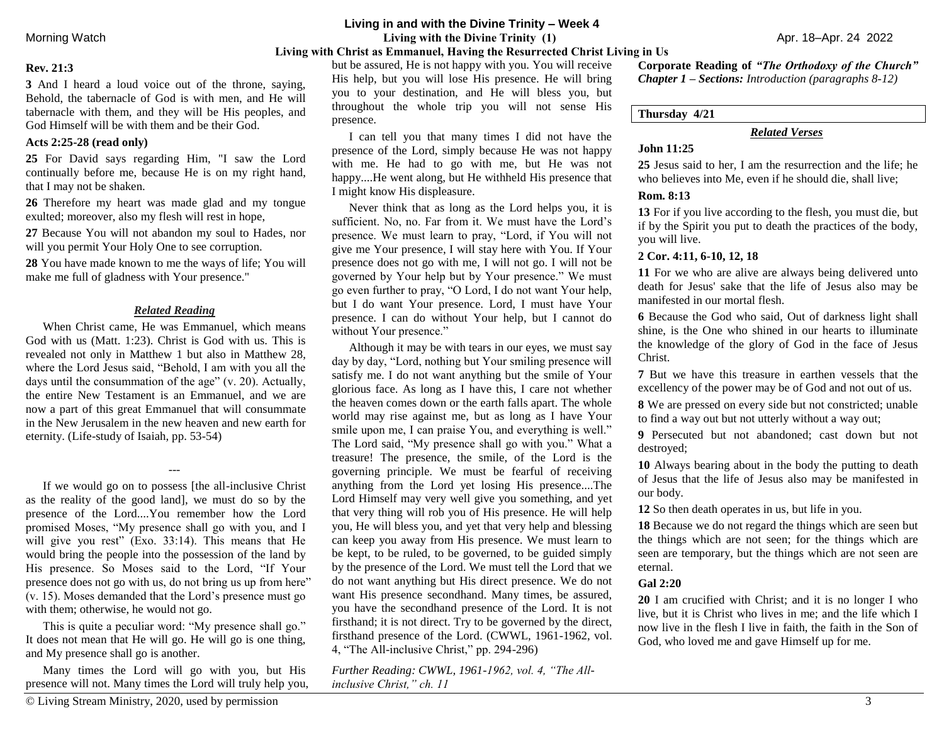## **Living in and with the Divine Trinity – Week 4**

Morning Watch**Living with the Divine Trinity (1)** Apr. 18–Apr. 24 2022

# **Living with Christ as Emmanuel, Having the Resurrected Christ Living in Us**

## **Rev. 21:3**

**3** And I heard a loud voice out of the throne, saying, Behold, the tabernacle of God is with men, and He will tabernacle with them, and they will be His peoples, and God Himself will be with them and be their God.

#### **Acts 2:25-28 (read only)**

**25** For David says regarding Him, "I saw the Lord continually before me, because He is on my right hand, that I may not be shaken.

**26** Therefore my heart was made glad and my tongue exulted; moreover, also my flesh will rest in hope,

**27** Because You will not abandon my soul to Hades, nor will you permit Your Holy One to see corruption.

**28** You have made known to me the ways of life; You will make me full of gladness with Your presence."

#### *Related Reading*

When Christ came, He was Emmanuel, which means God with us (Matt. 1:23). Christ is God with us. This is revealed not only in Matthew 1 but also in Matthew 28, where the Lord Jesus said, "Behold, I am with you all the days until the consummation of the age" (v. 20). Actually, the entire New Testament is an Emmanuel, and we are now a part of this great Emmanuel that will consummate in the New Jerusalem in the new heaven and new earth for eternity. (Life-study of Isaiah, pp. 53-54)

If we would go on to possess [the all-inclusive Christ as the reality of the good land], we must do so by the presence of the Lord....You remember how the Lord promised Moses, "My presence shall go with you, and I will give you rest" (Exo. 33:14). This means that He would bring the people into the possession of the land by His presence. So Moses said to the Lord, "If Your presence does not go with us, do not bring us up from here" (v. 15). Moses demanded that the Lord's presence must go with them; otherwise, he would not go.

---

This is quite a peculiar word: "My presence shall go." It does not mean that He will go. He will go is one thing, and My presence shall go is another.

Many times the Lord will go with you, but His presence will not. Many times the Lord will truly help you,

but be assured, He is not happy with you. You will receive His help, but you will lose His presence. He will bring you to your destination, and He will bless you, but throughout the whole trip you will not sense His presence.

I can tell you that many times I did not have the presence of the Lord, simply because He was not happy with me. He had to go with me, but He was not happy....He went along, but He withheld His presence that I might know His displeasure.

Never think that as long as the Lord helps you, it is sufficient. No, no. Far from it. We must have the Lord's presence. We must learn to pray, "Lord, if You will not give me Your presence, I will stay here with You. If Your presence does not go with me, I will not go. I will not be governed by Your help but by Your presence." We must go even further to pray, "O Lord, I do not want Your help, but I do want Your presence. Lord, I must have Your presence. I can do without Your help, but I cannot do without Your presence."

Although it may be with tears in our eyes, we must say day by day, "Lord, nothing but Your smiling presence will satisfy me. I do not want anything but the smile of Your glorious face. As long as I have this, I care not whether the heaven comes down or the earth falls apart. The whole world may rise against me, but as long as I have Your smile upon me, I can praise You, and everything is well." The Lord said, "My presence shall go with you." What a treasure! The presence, the smile, of the Lord is the governing principle. We must be fearful of receiving anything from the Lord yet losing His presence....The Lord Himself may very well give you something, and yet that very thing will rob you of His presence. He will help you, He will bless you, and yet that very help and blessing can keep you away from His presence. We must learn to be kept, to be ruled, to be governed, to be guided simply by the presence of the Lord. We must tell the Lord that we do not want anything but His direct presence. We do not want His presence secondhand. Many times, be assured, you have the secondhand presence of the Lord. It is not firsthand; it is not direct. Try to be governed by the direct, firsthand presence of the Lord. (CWWL, 1961-1962, vol. 4, "The All-inclusive Christ," pp. 294-296)

*Further Reading: CWWL, 1961-1962, vol. 4, "The Allinclusive Christ," ch. 11* 

**Corporate Reading of** *"The Orthodoxy of the Church" Chapter 1 – Sections: Introduction (paragraphs 8-12)*

**Thursday 4/21**

# *Related Verses*

# **John 11:25**

**25** Jesus said to her, I am the resurrection and the life; he who believes into Me, even if he should die, shall live;

#### **Rom. 8:13**

**13** For if you live according to the flesh, you must die, but if by the Spirit you put to death the practices of the body, you will live.

# **2 Cor. 4:11, 6-10, 12, 18**

**11** For we who are alive are always being delivered unto death for Jesus' sake that the life of Jesus also may be manifested in our mortal flesh.

**6** Because the God who said, Out of darkness light shall shine, is the One who shined in our hearts to illuminate the knowledge of the glory of God in the face of Jesus Christ.

**7** But we have this treasure in earthen vessels that the excellency of the power may be of God and not out of us.

**8** We are pressed on every side but not constricted; unable to find a way out but not utterly without a way out;

**9** Persecuted but not abandoned; cast down but not destroyed;

**10** Always bearing about in the body the putting to death of Jesus that the life of Jesus also may be manifested in our body.

**12** So then death operates in us, but life in you.

**18** Because we do not regard the things which are seen but the things which are not seen; for the things which are seen are temporary, but the things which are not seen are eternal.

## **Gal 2:20**

**20** I am crucified with Christ; and it is no longer I who live, but it is Christ who lives in me; and the life which I now live in the flesh I live in faith, the faith in the Son of God, who loved me and gave Himself up for me.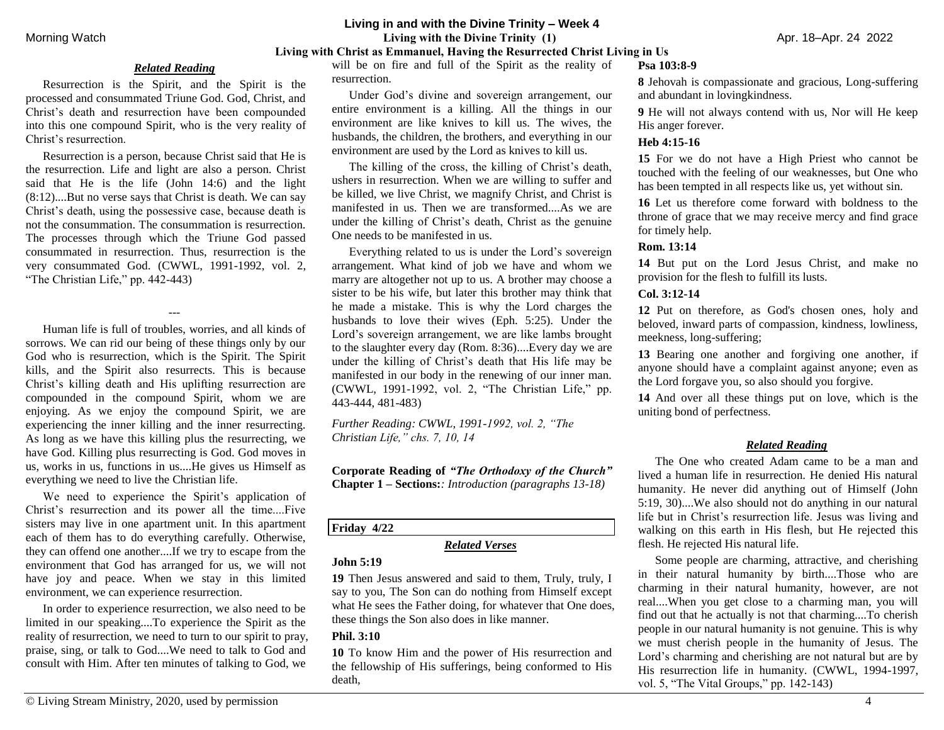# **Living in and with the Divine Trinity – Week 4** Morning Watch**Living with the Divine Trinity (1)** Apr. 18–Apr. 24 2022 **Living with Christ as Emmanuel, Having the Resurrected Christ Living in Us**

#### *Related Reading*

Resurrection is the Spirit, and the Spirit is the processed and consummated Triune God. God, Christ, and Christ's death and resurrection have been compounded into this one compound Spirit, who is the very reality of Christ's resurrection.

Resurrection is a person, because Christ said that He is the resurrection. Life and light are also a person. Christ said that He is the life (John 14:6) and the light (8:12)....But no verse says that Christ is death. We can say Christ's death, using the possessive case, because death is not the consummation. The consummation is resurrection. The processes through which the Triune God passed consummated in resurrection. Thus, resurrection is the very consummated God. (CWWL, 1991-1992, vol. 2, "The Christian Life," pp. 442-443)

---

Human life is full of troubles, worries, and all kinds of sorrows. We can rid our being of these things only by our God who is resurrection, which is the Spirit. The Spirit kills, and the Spirit also resurrects. This is because Christ's killing death and His uplifting resurrection are compounded in the compound Spirit, whom we are enjoying. As we enjoy the compound Spirit, we are experiencing the inner killing and the inner resurrecting. As long as we have this killing plus the resurrecting, we have God. Killing plus resurrecting is God. God moves in us, works in us, functions in us....He gives us Himself as everything we need to live the Christian life.

We need to experience the Spirit's application of Christ's resurrection and its power all the time....Five sisters may live in one apartment unit. In this apartment each of them has to do everything carefully. Otherwise, they can offend one another....If we try to escape from the environment that God has arranged for us, we will not have joy and peace. When we stay in this limited environment, we can experience resurrection.

In order to experience resurrection, we also need to be limited in our speaking....To experience the Spirit as the reality of resurrection, we need to turn to our spirit to pray, praise, sing, or talk to God....We need to talk to God and consult with Him. After ten minutes of talking to God, we

will be on fire and full of the Spirit as the reality of resurrection.

Under God's divine and sovereign arrangement, our entire environment is a killing. All the things in our environment are like knives to kill us. The wives, the husbands, the children, the brothers, and everything in our environment are used by the Lord as knives to kill us.

The killing of the cross, the killing of Christ's death, ushers in resurrection. When we are willing to suffer and be killed, we live Christ, we magnify Christ, and Christ is manifested in us. Then we are transformed....As we are under the killing of Christ's death, Christ as the genuine One needs to be manifested in us.

Everything related to us is under the Lord's sovereign arrangement. What kind of job we have and whom we marry are altogether not up to us. A brother may choose a sister to be his wife, but later this brother may think that he made a mistake. This is why the Lord charges the husbands to love their wives (Eph. 5:25). Under the Lord's sovereign arrangement, we are like lambs brought to the slaughter every day (Rom. 8:36)....Every day we are under the killing of Christ's death that His life may be manifested in our body in the renewing of our inner man. (CWWL, 1991-1992, vol. 2, "The Christian Life," pp. 443-444, 481-483)

*Further Reading: CWWL, 1991-1992, vol. 2, "The Christian Life," chs. 7, 10, 14* 

**Corporate Reading of** *"The Orthodoxy of the Church"* **Chapter 1 – Sections:***: Introduction (paragraphs 13-18)*

## **Friday 4/22**

#### *Related Verses*

#### **John 5:19**

**19** Then Jesus answered and said to them, Truly, truly, I say to you, The Son can do nothing from Himself except what He sees the Father doing, for whatever that One does, these things the Son also does in like manner.

## **Phil. 3:10**

**10** To know Him and the power of His resurrection and the fellowship of His sufferings, being conformed to His death,

#### **Psa 103:8-9**

**8** Jehovah is compassionate and gracious, Long-suffering and abundant in lovingkindness.

**9** He will not always contend with us, Nor will He keep His anger forever.

## **Heb 4:15-16**

**15** For we do not have a High Priest who cannot be touched with the feeling of our weaknesses, but One who has been tempted in all respects like us, yet without sin.

**16** Let us therefore come forward with boldness to the throne of grace that we may receive mercy and find grace for timely help.

## **Rom. 13:14**

**14** But put on the Lord Jesus Christ, and make no provision for the flesh to fulfill its lusts.

## **Col. 3:12-14**

**12** Put on therefore, as God's chosen ones, holy and beloved, inward parts of compassion, kindness, lowliness, meekness, long-suffering;

**13** Bearing one another and forgiving one another, if anyone should have a complaint against anyone; even as the Lord forgave you, so also should you forgive.

**14** And over all these things put on love, which is the uniting bond of perfectness.

# *Related Reading*

The One who created Adam came to be a man and lived a human life in resurrection. He denied His natural humanity. He never did anything out of Himself (John 5:19, 30)....We also should not do anything in our natural life but in Christ's resurrection life. Jesus was living and walking on this earth in His flesh, but He rejected this flesh. He rejected His natural life.

Some people are charming, attractive, and cherishing in their natural humanity by birth....Those who are charming in their natural humanity, however, are not real....When you get close to a charming man, you will find out that he actually is not that charming....To cherish people in our natural humanity is not genuine. This is why we must cherish people in the humanity of Jesus. The Lord's charming and cherishing are not natural but are by His resurrection life in humanity. (CWWL, 1994-1997, vol. 5, "The Vital Groups," pp. 142-143)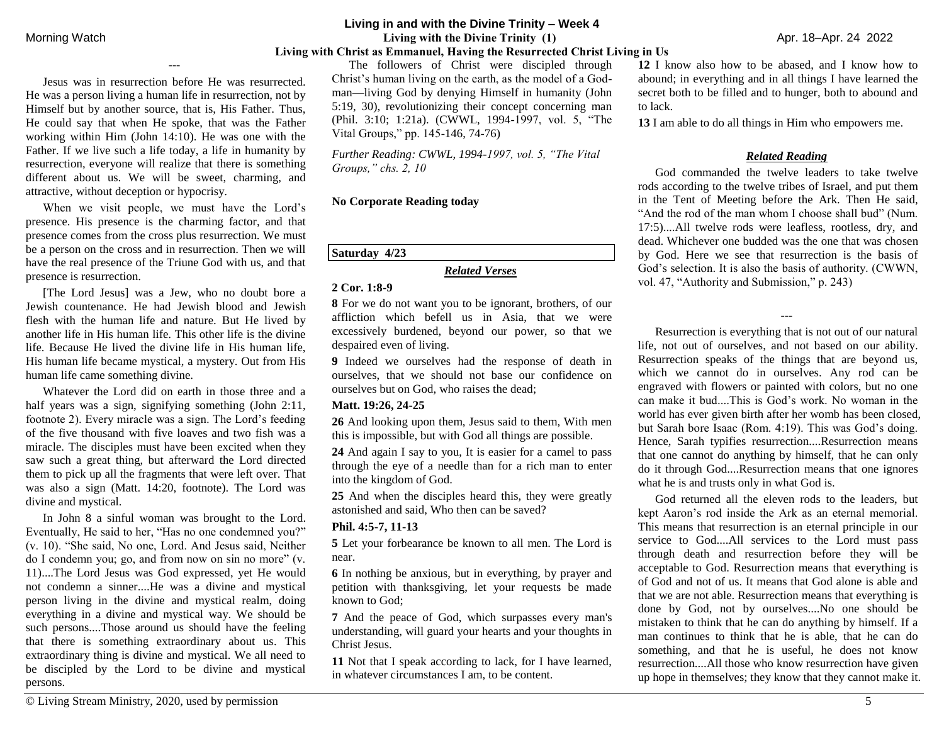**Living in and with the Divine Trinity – Week 4** Morning Watch**Living with the Divine Trinity (1)** Apr. 18–Apr. 24 2022 **Living with Christ as Emmanuel, Having the Resurrected Christ Living in Us**

Jesus was in resurrection before He was resurrected. He was a person living a human life in resurrection, not by Himself but by another source, that is, His Father. Thus, He could say that when He spoke, that was the Father working within Him (John 14:10). He was one with the Father. If we live such a life today, a life in humanity by resurrection, everyone will realize that there is something different about us. We will be sweet, charming, and attractive, without deception or hypocrisy.

---

When we visit people, we must have the Lord's presence. His presence is the charming factor, and that presence comes from the cross plus resurrection. We must be a person on the cross and in resurrection. Then we will have the real presence of the Triune God with us, and that presence is resurrection.

[The Lord Jesus] was a Jew, who no doubt bore a Jewish countenance. He had Jewish blood and Jewish flesh with the human life and nature. But He lived by another life in His human life. This other life is the divine life. Because He lived the divine life in His human life, His human life became mystical, a mystery. Out from His human life came something divine.

Whatever the Lord did on earth in those three and a half years was a sign, signifying something (John 2:11, footnote 2). Every miracle was a sign. The Lord's feeding of the five thousand with five loaves and two fish was a miracle. The disciples must have been excited when they saw such a great thing, but afterward the Lord directed them to pick up all the fragments that were left over. That was also a sign (Matt. 14:20, footnote). The Lord was divine and mystical.

In John 8 a sinful woman was brought to the Lord. Eventually, He said to her, "Has no one condemned you?" (v. 10). "She said, No one, Lord. And Jesus said, Neither do I condemn you; go, and from now on sin no more" (v. 11)....The Lord Jesus was God expressed, yet He would not condemn a sinner....He was a divine and mystical person living in the divine and mystical realm, doing everything in a divine and mystical way. We should be such persons....Those around us should have the feeling that there is something extraordinary about us. This extraordinary thing is divine and mystical. We all need to be discipled by the Lord to be divine and mystical persons.

*Further Reading: CWWL, 1994-1997, vol. 5, "The Vital Groups," chs. 2, 10* 

#### **No Corporate Reading today**

**Saturday 4/23**

## *Related Verses*

## **2 Cor. 1:8-9**

**8** For we do not want you to be ignorant, brothers, of our affliction which befell us in Asia, that we were excessively burdened, beyond our power, so that we despaired even of living.

**9** Indeed we ourselves had the response of death in ourselves, that we should not base our confidence on ourselves but on God, who raises the dead;

#### **Matt. 19:26, 24-25**

**26** And looking upon them, Jesus said to them, With men this is impossible, but with God all things are possible.

**24** And again I say to you, It is easier for a camel to pass through the eye of a needle than for a rich man to enter into the kingdom of God.

**25** And when the disciples heard this, they were greatly astonished and said, Who then can be saved?

#### **Phil. 4:5-7, 11-13**

**5** Let your forbearance be known to all men. The Lord is near.

**6** In nothing be anxious, but in everything, by prayer and petition with thanksgiving, let your requests be made known to God<sup>.</sup>

**7** And the peace of God, which surpasses every man's understanding, will guard your hearts and your thoughts in Christ Jesus.

**11** Not that I speak according to lack, for I have learned, in whatever circumstances I am, to be content.

**12** I know also how to be abased, and I know how to abound; in everything and in all things I have learned the secret both to be filled and to hunger, both to abound and to lack.

**13** I am able to do all things in Him who empowers me.

# *Related Reading*

God commanded the twelve leaders to take twelve rods according to the twelve tribes of Israel, and put them in the Tent of Meeting before the Ark. Then He said, "And the rod of the man whom I choose shall bud" (Num. 17:5)....All twelve rods were leafless, rootless, dry, and dead. Whichever one budded was the one that was chosen by God. Here we see that resurrection is the basis of God's selection. It is also the basis of authority. (CWWN, vol. 47, "Authority and Submission," p. 243)

Resurrection is everything that is not out of our natural life, not out of ourselves, and not based on our ability. Resurrection speaks of the things that are beyond us, which we cannot do in ourselves. Any rod can be engraved with flowers or painted with colors, but no one can make it bud....This is God's work. No woman in the world has ever given birth after her womb has been closed, but Sarah bore Isaac (Rom. 4:19). This was God's doing. Hence, Sarah typifies resurrection....Resurrection means that one cannot do anything by himself, that he can only do it through God....Resurrection means that one ignores what he is and trusts only in what God is.

---

God returned all the eleven rods to the leaders, but kept Aaron's rod inside the Ark as an eternal memorial. This means that resurrection is an eternal principle in our service to God....All services to the Lord must pass through death and resurrection before they will be acceptable to God. Resurrection means that everything is of God and not of us. It means that God alone is able and that we are not able. Resurrection means that everything is done by God, not by ourselves....No one should be mistaken to think that he can do anything by himself. If a man continues to think that he is able, that he can do something, and that he is useful, he does not know resurrection....All those who know resurrection have given up hope in themselves; they know that they cannot make it.